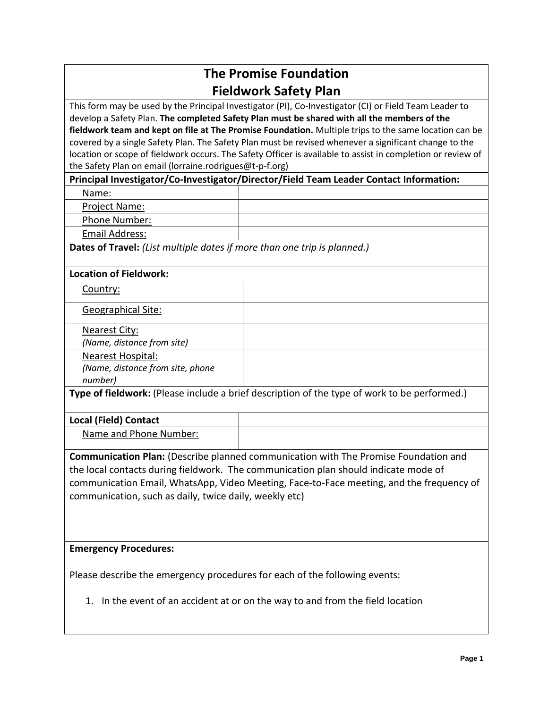# **The Promise Foundation Fieldwork Safety Plan**

This form may be used by the Principal Investigator (PI), Co-Investigator (CI) or Field Team Leader to develop a Safety Plan. **The completed Safety Plan must be shared with all the members of the fieldwork team and kept on file at The Promise Foundation.** Multiple trips to the same location can be covered by a single Safety Plan. The Safety Plan must be revised whenever a significant change to the location or scope of fieldwork occurs. The Safety Officer is available to assist in completion or review of the Safety Plan on email (lorraine.rodrigues@t-p-f.org)

# **Principal Investigator/Co-Investigator/Director/Field Team Leader Contact Information:**

Name:

Project Name:

Phone Number:

Email Address:

**Dates of Travel:** *(List multiple dates if more than one trip is planned.)*

### **Location of Fieldwork:**

Country:

Geographical Site:

Nearest City:

*(Name, distance from site)*

Nearest Hospital:

*(Name, distance from site, phone number)*

**Type of fieldwork:** (Please include a brief description of the type of work to be performed.)

# **Local (Field) Contact**

Name and Phone Number:

**Communication Plan:** (Describe planned communication with The Promise Foundation and the local contacts during fieldwork. The communication plan should indicate mode of communication Email, WhatsApp, Video Meeting, Face-to-Face meeting, and the frequency of communication, such as daily, twice daily, weekly etc)

# **Emergency Procedures:**

Please describe the emergency procedures for each of the following events:

1. In the event of an accident at or on the way to and from the field location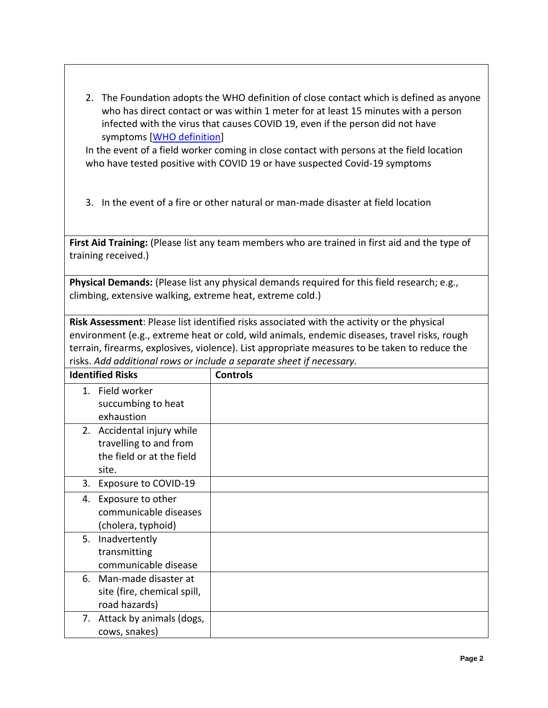2. The Foundation adopts the WHO definition of close contact which is defined as anyone who has direct contact or was within 1 meter for at least 15 minutes with a person infected with the virus that causes COVID 19, even if the person did not have symptoms [\[WHO definition\]](https://www.who.int/news-room/q-a-detail/coronavirus-disease-covid-19-contact-tracing#:~:text=A%20contact%20is%20defined%20as,did%20not%20have%20symptoms.)

In the event of a field worker coming in close contact with persons at the field location who have tested positive with COVID 19 or have suspected Covid-19 symptoms

3. In the event of a fire or other natural or man-made disaster at field location

**First Aid Training:** (Please list any team members who are trained in first aid and the type of training received.)

**Physical Demands:** (Please list any physical demands required for this field research; e.g., climbing, extensive walking, extreme heat, extreme cold.)

**Risk Assessment**: Please list identified risks associated with the activity or the physical environment (e.g., extreme heat or cold, wild animals, endemic diseases, travel risks, rough terrain, firearms, explosives, violence). List appropriate measures to be taken to reduce the risks. *Add additional rows or include a separate sheet if necessary.*

| <b>Identified Risks</b> |                                                                                            | <b>Controls</b> |
|-------------------------|--------------------------------------------------------------------------------------------|-----------------|
|                         | 1. Field worker                                                                            |                 |
|                         | succumbing to heat<br>exhaustion                                                           |                 |
|                         | 2. Accidental injury while<br>travelling to and from<br>the field or at the field<br>site. |                 |
| 3.                      | Exposure to COVID-19                                                                       |                 |
|                         | 4. Exposure to other<br>communicable diseases<br>(cholera, typhoid)                        |                 |
| 5.                      | Inadvertently<br>transmitting<br>communicable disease                                      |                 |
|                         | 6. Man-made disaster at<br>site (fire, chemical spill,<br>road hazards)                    |                 |
|                         | 7. Attack by animals (dogs,<br>cows, snakes)                                               |                 |